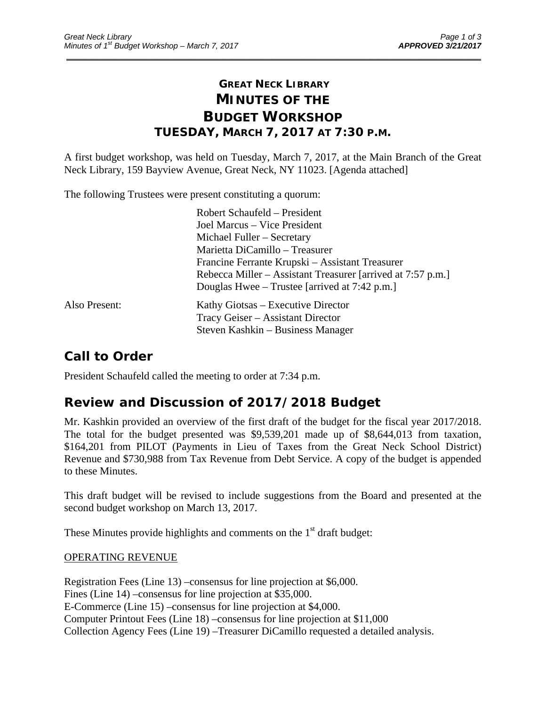## **GREAT NECK LIBRARY MINUTES OF THE BUDGET WORKSHOP TUESDAY, MARCH 7, 2017 AT 7:30 P.M.**

\_\_\_\_\_\_\_\_\_\_\_\_\_\_\_\_\_\_\_\_\_\_\_\_\_\_\_\_\_\_\_\_\_\_\_\_\_\_\_\_\_\_\_\_\_\_\_\_\_\_\_\_\_\_\_\_\_\_\_\_\_\_\_\_\_\_\_\_\_\_\_\_\_\_\_\_\_\_\_\_\_\_\_\_\_\_\_\_\_\_\_\_\_

A first budget workshop, was held on Tuesday, March 7, 2017, at the Main Branch of the Great Neck Library, 159 Bayview Avenue, Great Neck, NY 11023. [Agenda attached]

The following Trustees were present constituting a quorum:

|               | Robert Schaufeld – President                                |
|---------------|-------------------------------------------------------------|
|               | Joel Marcus – Vice President                                |
|               | Michael Fuller – Secretary                                  |
|               | Marietta DiCamillo - Treasurer                              |
|               | Francine Ferrante Krupski – Assistant Treasurer             |
|               | Rebecca Miller – Assistant Treasurer [arrived at 7:57 p.m.] |
|               | Douglas Hwee – Trustee [arrived at 7:42 p.m.]               |
| Also Present: | Kathy Giotsas – Executive Director                          |
|               | Tracy Geiser – Assistant Director                           |
|               | Steven Kashkin – Business Manager                           |
|               |                                                             |

## **Call to Order**

President Schaufeld called the meeting to order at 7:34 p.m.

### **Review and Discussion of 2017/2018 Budget**

Mr. Kashkin provided an overview of the first draft of the budget for the fiscal year 2017/2018. The total for the budget presented was \$9,539,201 made up of \$8,644,013 from taxation, \$164,201 from PILOT (Payments in Lieu of Taxes from the Great Neck School District) Revenue and \$730,988 from Tax Revenue from Debt Service. A copy of the budget is appended to these Minutes.

This draft budget will be revised to include suggestions from the Board and presented at the second budget workshop on March 13, 2017.

These Minutes provide highlights and comments on the  $1<sup>st</sup>$  draft budget:

#### OPERATING REVENUE

Registration Fees (Line 13) –consensus for line projection at \$6,000. Fines (Line 14) –consensus for line projection at \$35,000. E-Commerce (Line 15) –consensus for line projection at \$4,000. Computer Printout Fees (Line 18) –consensus for line projection at \$11,000 Collection Agency Fees (Line 19) –Treasurer DiCamillo requested a detailed analysis.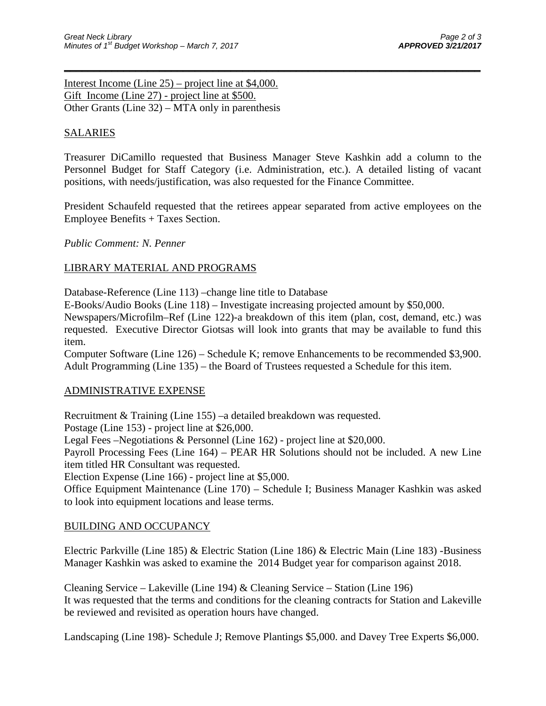Interest Income (Line 25) – project line at \$4,000. Gift Income (Line 27) - project line at \$500. Other Grants (Line 32) – MTA only in parenthesis

### SALARIES

Treasurer DiCamillo requested that Business Manager Steve Kashkin add a column to the Personnel Budget for Staff Category (i.e. Administration, etc.). A detailed listing of vacant positions, with needs/justification, was also requested for the Finance Committee.

 $\overline{\phantom{a}}$  , and the contract of the contract of the contract of the contract of the contract of the contract of the contract of the contract of the contract of the contract of the contract of the contract of the contrac

President Schaufeld requested that the retirees appear separated from active employees on the Employee Benefits + Taxes Section.

*Public Comment: N. Penner* 

#### LIBRARY MATERIAL AND PROGRAMS

Database-Reference (Line 113) –change line title to Database

E-Books/Audio Books (Line 118) – Investigate increasing projected amount by \$50,000.

Newspapers/Microfilm–Ref (Line 122)-a breakdown of this item (plan, cost, demand, etc.) was requested. Executive Director Giotsas will look into grants that may be available to fund this item.

Computer Software (Line 126) – Schedule K; remove Enhancements to be recommended \$3,900. Adult Programming (Line 135) – the Board of Trustees requested a Schedule for this item.

#### ADMINISTRATIVE EXPENSE

Recruitment & Training (Line 155) –a detailed breakdown was requested.

Postage (Line 153) - project line at \$26,000.

Legal Fees –Negotiations & Personnel (Line 162) - project line at \$20,000.

Payroll Processing Fees (Line 164) – PEAR HR Solutions should not be included. A new Line item titled HR Consultant was requested.

Election Expense (Line 166) - project line at \$5,000.

Office Equipment Maintenance (Line 170) – Schedule I; Business Manager Kashkin was asked to look into equipment locations and lease terms.

#### BUILDING AND OCCUPANCY

Electric Parkville (Line 185) & Electric Station (Line 186) & Electric Main (Line 183) -Business Manager Kashkin was asked to examine the 2014 Budget year for comparison against 2018.

Cleaning Service – Lakeville (Line 194) & Cleaning Service – Station (Line 196) It was requested that the terms and conditions for the cleaning contracts for Station and Lakeville be reviewed and revisited as operation hours have changed.

Landscaping (Line 198)- Schedule J; Remove Plantings \$5,000. and Davey Tree Experts \$6,000.